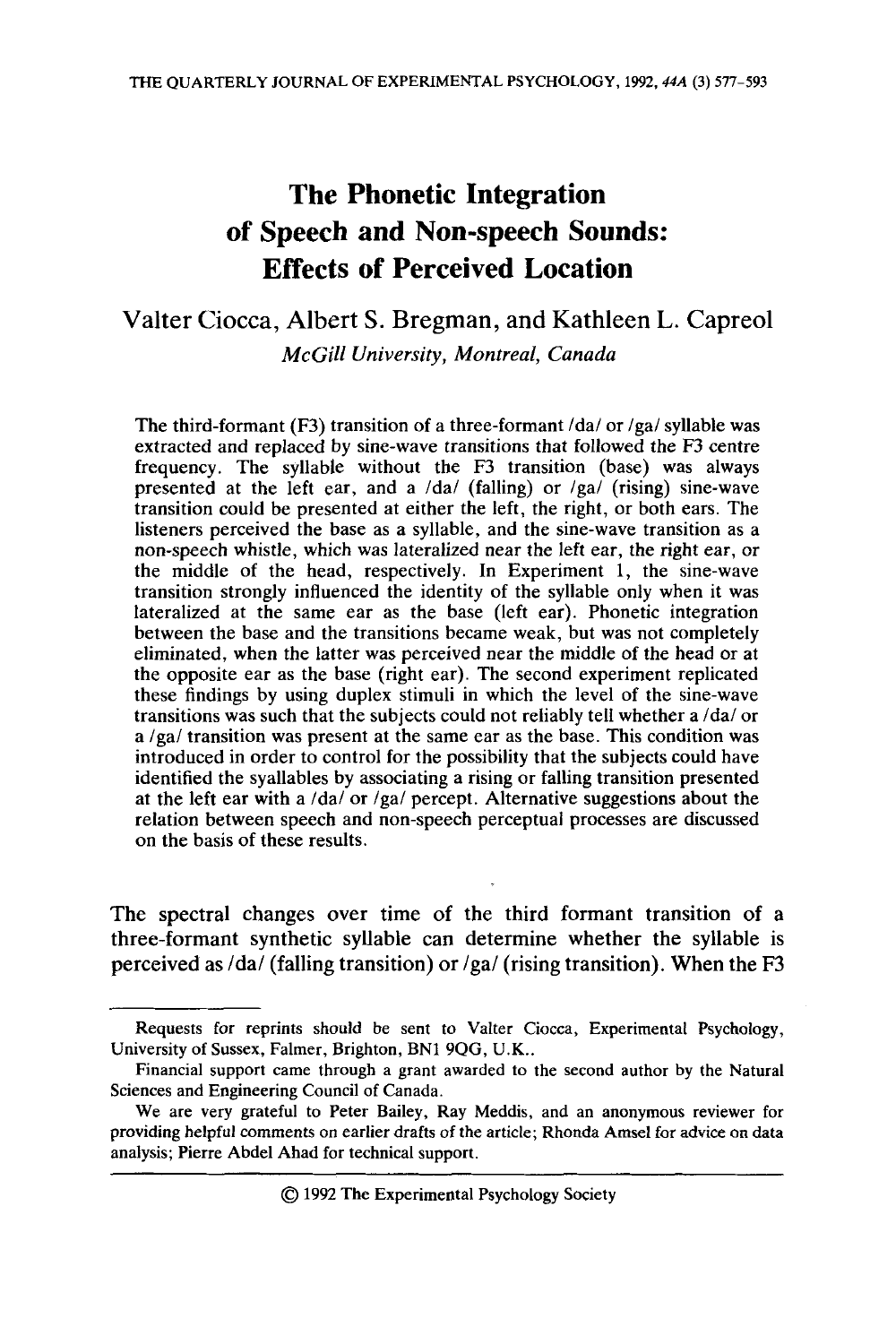# **The Phonetic Integration of Speech and Non-speech Sounds: Effects of Perceived Location**

# Valter Ciocca, Albert S. Bregman, and Kathleen L. Capreol *McGill University, Montreal, Canada*

The third-formant (F3) transition of a three-formant  $\frac{d\mathbf{a}}{\partial \mathbf{x}}$  or  $\frac{d\mathbf{a}}{\partial \mathbf{x}}$  syllable was extracted and replaced by sine-wave transitions that followed the F3 centre frequency. The syllable without the F3 transition (base) was always presented at the left ear, and a  $\frac{da}{t}$  (falling) or  $\frac{g}{g}$  (rising) sine-wave transition could be presented at either the left, the right, or both ears. The listeners perceived the base as a syllable, and the sine-wave transition as a non-speech whistle, which was lateralized near the left ear, the right ear, or the middle of the head, respectively. In Experiment 1, the sine-wave transition strongly influenced the identity of the syllable only when it was lateralized at the same ear as the base (left ear). Phonetic integration between the base and the transitions became weak, but was not completely eliminated, when the latter was perceived near the middle of the head or at the opposite ear as the base (right ear). The second experiment replicated these findings by using duplex stimuli in which the level of the sine-wave transitions was such that the subjects could not reliably tell whether a /da/ or  $a/ga/t$  transition was present at the same ear as the base. This condition was introduced in order to control for the possibility that the subjects could have identified the syallables by associating a rising or falling transition presented at the left ear with a  $\frac{d}{da}$  or  $\frac{lga}{l}$  percept. Alternative suggestions about the relation between speech and non-speech perceptual processes are discussed on the basis of these results.

The spectral changes over time of the third formant transition of a three-formant synthetic syllable can determine whether the syllable is perceived as  $/da/$  (falling transition) or  $/ga/$  (rising transition). When the F3

*0* 1992 The Experimental Psychology Society

Requests for reprints should be sent to Valter Ciocca, Experimental Psychology, University of Sussex, Falmer, Brighton, BN1 **9QG,** U.K..

Financial support came through a grant awarded to the second author by the Natural Sciences and Engineering Council of Canada.

We are very grateful to Peter Bailey, Ray Meddis, and an anonymous reviewer for providing helpful comments on earlier drafts of the article; Rhonda Amsel for advice **on** data analysis; Pierre Abdel Ahad for technical support.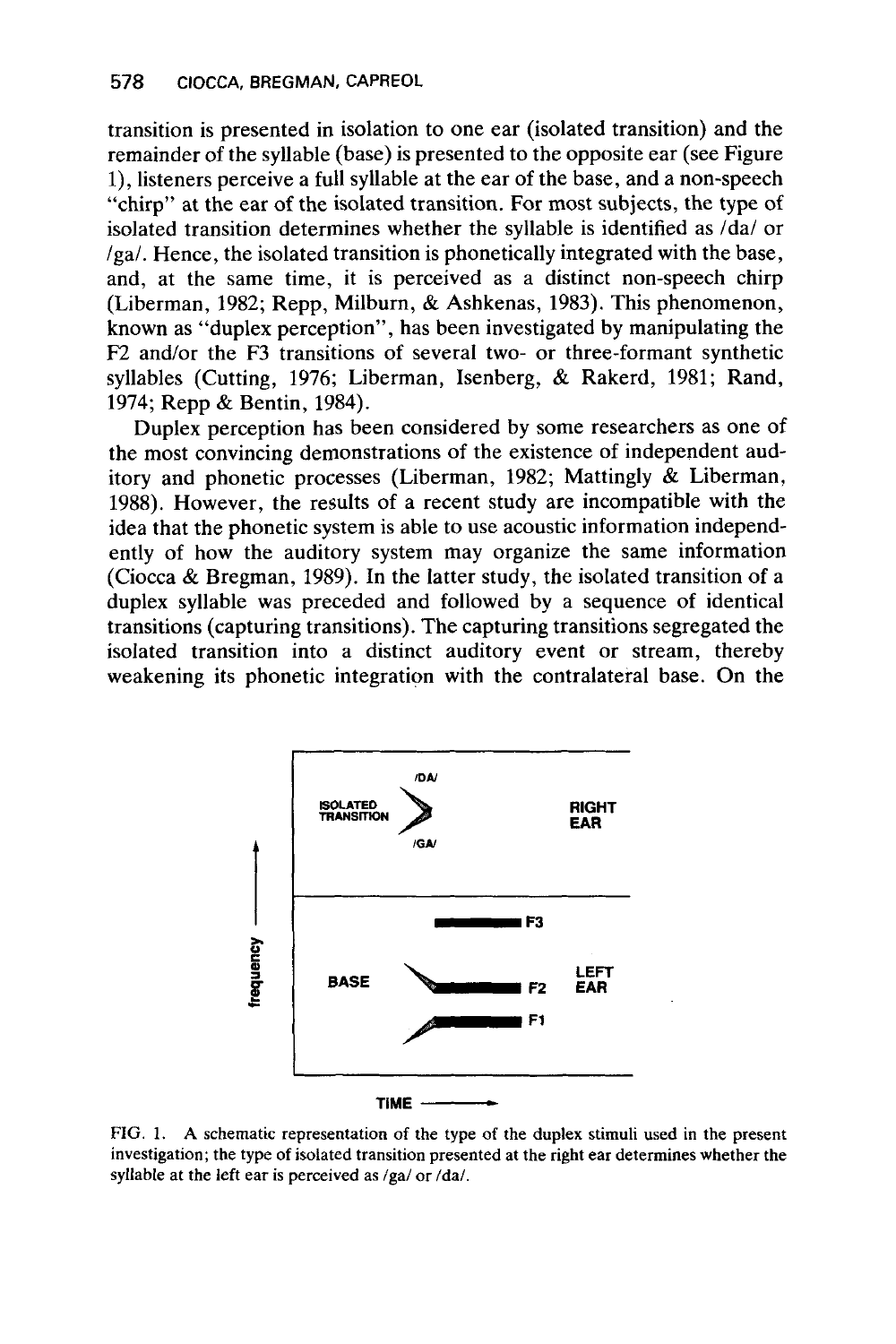transition is presented in isolation to one ear (isolated transition) and the remainder of the syllable (base) is presented to the opposite ear (see Figure l), listeners perceive a full syllable at the ear of the base, and a non-speech "chirp" at the ear of the isolated transition. For most subjects, the type of isolated transition determines whether the syllable is identified as /da/ or /ga/. Hence, the isolated transition is phonetically integrated with the base, and, at the same time, it is perceived as a distinct non-speech chirp (Liberman, **1982;** Repp, Milburn, & Ashkenas, **1983).** This phenomenon, known as "duplex perception", has been investigated by manipulating the F2 and/or the F3 transitions of several two- or three-formant synthetic syllables (Cutting, **1976;** Liberman, Isenberg, & Rakerd, **1981;** Rand, **1974;** Repp & Bentin, **1984).** 

Duplex perception has been considered by some researchers as one of the most convincing demonstrations of the existence of independent auditory and phonetic processes (Liberman, **1982;** Mattingly & Liberman, **1988).** However, the results of a recent study are incompatible with the idea that the phonetic system is able to use acoustic information independently of how the auditory system may organize the same information (Ciocca *tk* Bregman, **1989).** In the latter study, the isolated transition of a duplex syllable was preceded and followed by a sequence of identical transitions (capturing transitions). The capturing transitions segregated the isolated transition into a distinct auditory event or stream, thereby weakening its phonetic integration with the contralateral base. On the



**FIG. 1. A schematic representation of the type of the duplex stimuli used in the present investigation; the type of isolated transition presented at the right ear determines whether the**  syllable at the left ear is perceived as /ga/ or /da/.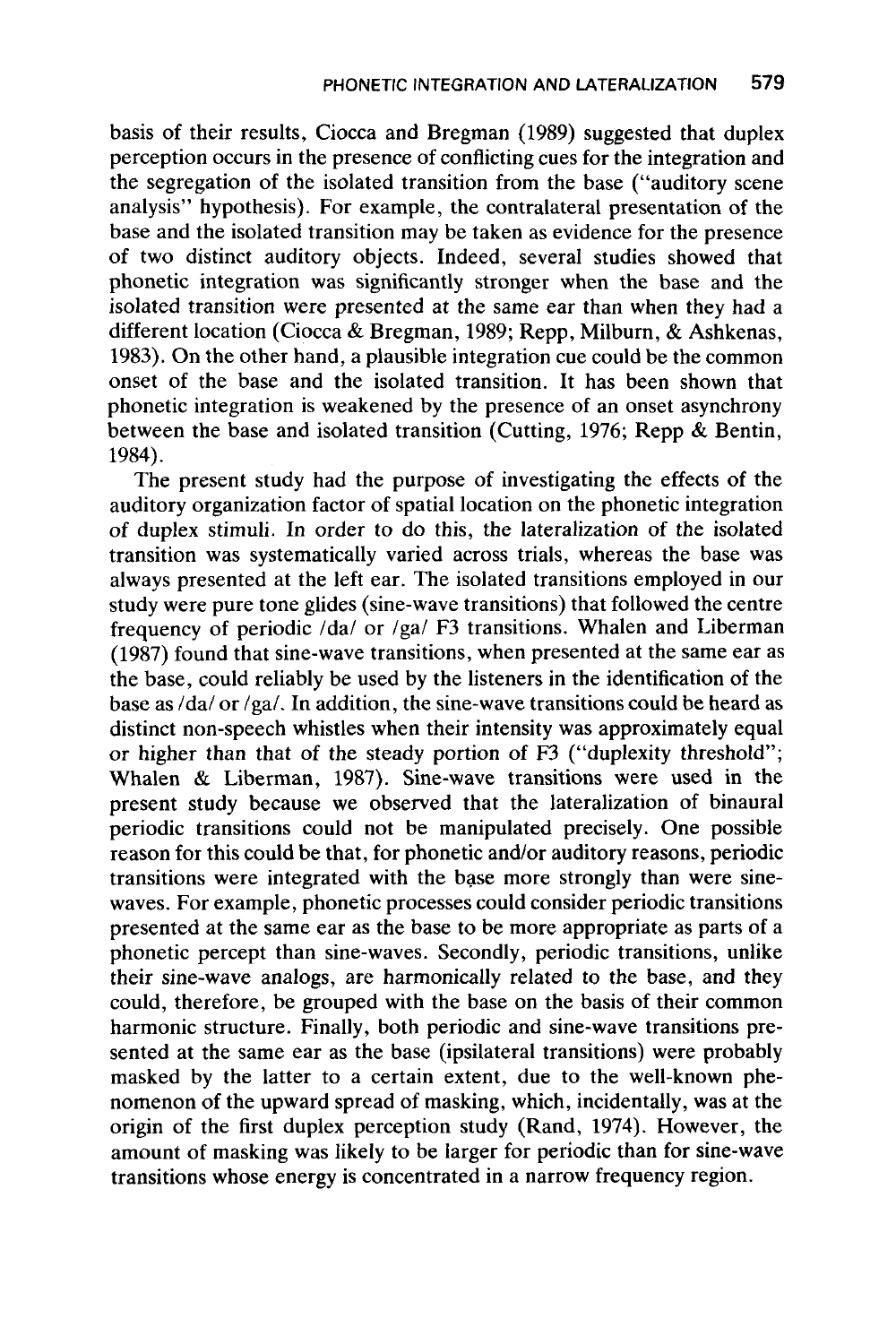basis of their results, Ciocca and Bregman (1989) suggested that duplex perception occurs in the presence of conflicting cues for the integration and the segregation of the isolated transition from the base ("auditory scene analysis" hypothesis). For example, the contralateral presentation of the base and the isolated transition may be taken as evidence for the presence of two distinct auditory objects. Indeed, several studies showed that phonetic integration was significantly stronger when the base and the isolated transition were presented at the same ear than when they had a different location (Ciocca & Bregman, 1989; Repp, Milburn, & Ashkenas, 1983). On the other hand, a plausible integration cue could be the common onset of the base and the isolated transition. It has been shown that phonetic integration is weakened by the presence of an onset asynchrony between the base and isolated transition (Cutting, 1976; Repp & Bentin, 1984).

The present study had the purpose of investigating the effects of the auditory organization factor of spatial location on the phonetic integration of duplex stimuli. In order to do this, the lateralization of the isolated transition was systematically varied across trials, whereas the base was always presented at the left ear. The isolated transitions employed in our study were pure tone glides (sine-wave transitions) that followed the centre frequency of periodic /da/ or /ga/ F3 transitions. Whalen and Liberman (1987) found that sine-wave transitions, when presented at the same ear as the base, could reliably be used by the listeners in the identification of the base as  $\frac{da}{c}$  or  $\frac{ga}{.}$  In addition, the sine-wave transitions could be heard as distinct non-speech whistles when their intensity was approximately equal or higher than that of the steady portion of F3 ("duplexity threshold"; Whalen & Liberman, 1987). Sine-wave transitions were used in the present study because we observed that the lateralization of binaural periodic transitions could not be manipulated precisely. One possible reason for this could be that, for phonetic and/or auditory reasons, periodic transitions were integrated with the base more strongly than were sinewaves. For example, phonetic processes could consider periodic transitions presented at the same ear as the base to be more appropriate as parts of a phonetic percept than sine-waves. Secondly, periodic transitions, unlike their sine-wave analogs, are harmonically related to the base, and they could, therefore, be grouped with the base on the basis of their common harmonic structure. Finally, both periodic and sine-wave transitions presented at the same ear as the base (ipsilateral transitions) were probably masked by the latter to a certain extent, due to the well-known phenomenon of the upward spread of masking, which, incidentally, was at the origin of the first duplex perception study (Rand, 1974). However, the amount of masking was likely to be larger for periodic than for sine-wave transitions whose energy is concentrated in a narrow frequency region.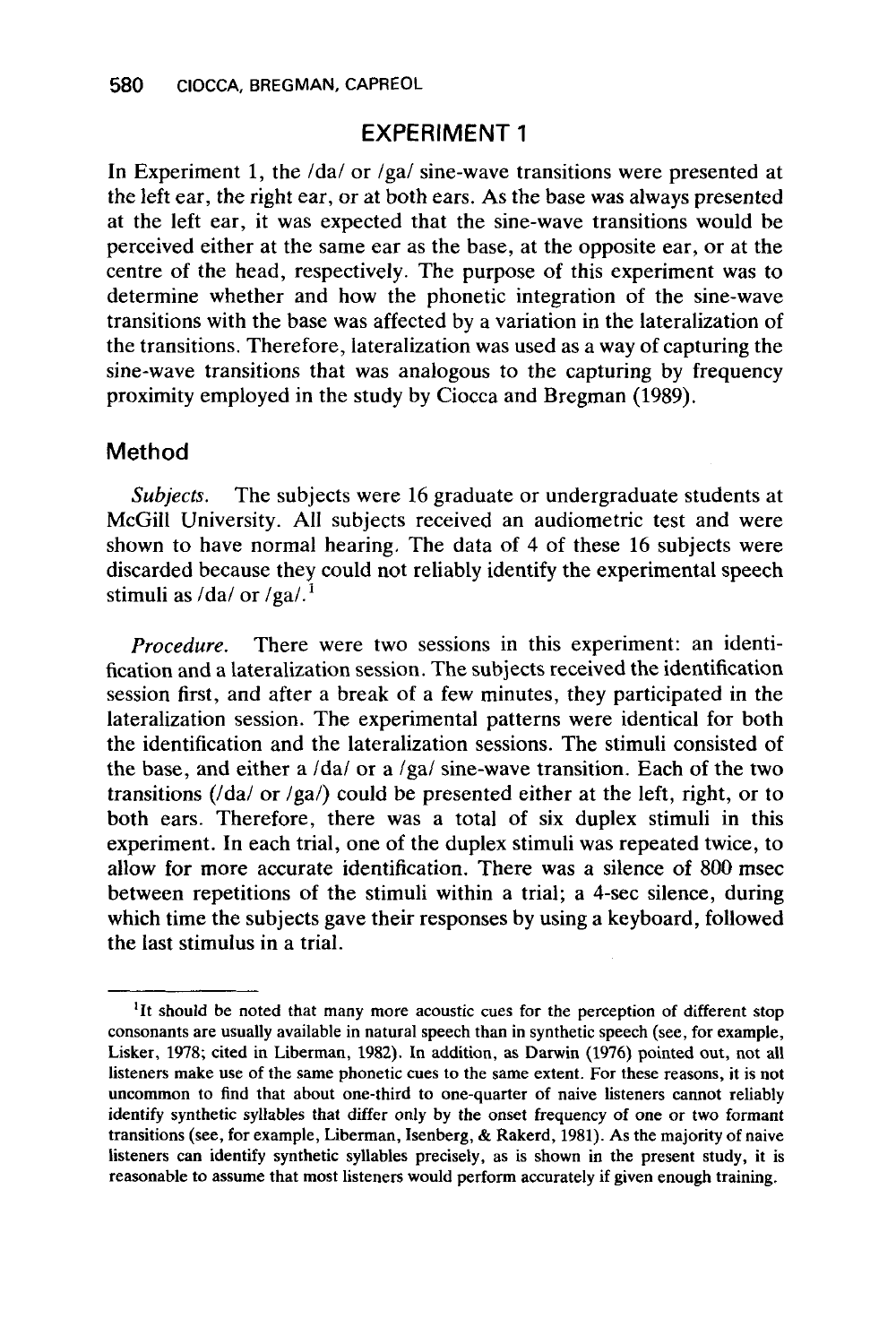# **EXPERIMENT 1**

In Experiment 1, the  $\frac{1}{2}$  or  $\frac{1}{2}$  sine-wave transitions were presented at the left ear, the right ear, or at both ears. As the base was always presented at the left ear, it was expected that the sine-wave transitions would be perceived either at the same ear as the base, at the opposite ear, or at the centre of the head, respectively. The purpose of this experiment was to determine whether and how the phonetic integration of the sine-wave transitions with the base was affected by a variation in the lateralization of the transitions. Therefore, lateralization was used as a way of capturing the sine-wave transitions that was analogous to the capturing by frequency proximity employed in the study by Ciocca and Bregman (1989).

#### **Method**

*Subjects.* The subjects were 16 graduate or undergraduate students at McGill University. All subjects received an audiometric test and were shown to have normal hearing. The data of **4** of these 16 subjects were discarded because they could not reliably identify the experimental speech stimuli as  $\frac{da}{\text{or}}$  /ga/.<sup>1</sup>

*Procedure.* There were two sessions in this experiment: an identification and a lateralization session. The subjects received the identification session first, and after a break of a few minutes, they participated in the lateralization session. The experimental patterns were identical for both the identification and the lateralization sessions. The stimuli consisted of the base, and either a /da/ or a /ga/ sine-wave transition. Each of the two transitions ( $/da/$  or  $/ga/$ ) could be presented either at the left, right, or to both ears. Therefore, there was a total of six duplex stimuli in this experiment. In each trial, one of the duplex stimuli was repeated twice, to allow for more accurate identification. There was a silence of 800 msec between repetitions of the stimuli within a trial; a 4-sec silence, during which time the subjects gave their responses by using a keyboard, followed the last stimulus in a trial.

<sup>&</sup>lt;sup>1</sup>It should be noted that many more acoustic cues for the perception of different stop consonants are usually available in natural speech than in synthetic speech (see, for example, Lisker, 1978; cited in Liberman, 1982). **In** addition, as Darwin (1976) pointed out, not all listeners make use of the same phonetic cues to the same extent. For these reasons, it is not uncommon to find that about one-third to one-quarter of naive listeners cannot reliably identify synthetic syllables that differ only by the onset frequency of one or two formant transitions (see, for example, Liberman, Isenberg, & Rakerd, 1981). As the majority of naive listeners can identify synthetic syllables precisely, as is shown in the present study, it is reasonable to assume that most listeners would perform accurately if given enough training.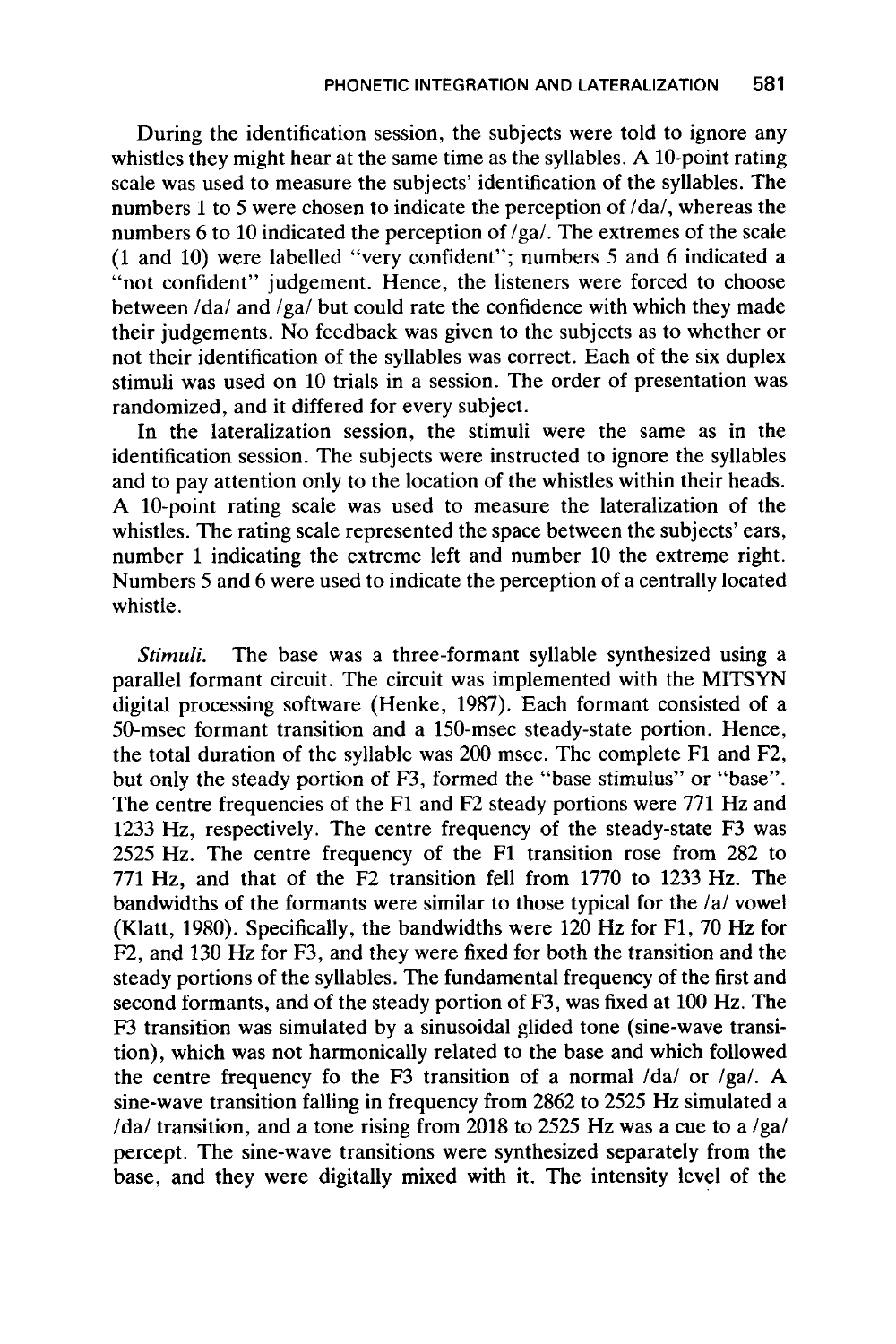During the identification session, the subjects were told to ignore any whistles they might hear at the same time as the syllables. A 10-point rating scale was used to measure the subjects' identification of the syllables. The numbers 1 to 5 were chosen to indicate the perception of /da/, whereas the numbers 6 to 10 indicated the perception of /ga/. The extremes of the scale (1 and 10) were labelled "very confident"; numbers *5* and 6 indicated a "not confident" judgement. Hence, the listeners were forced to choose between /da/ and /ga/ but could rate the confidence with which they made their judgements. No feedback was given to the subjects as to whether or not their identification of the syllables was correct. Each of the six duplex stimuli was used on 10 trials in a session. The order of presentation was randomized, and it differed for every subject.

In the lateralization session, the stimuli were the same as in the identification session. The subjects were instructed to ignore the syllables and to pay attention only to the location of the whistles within their heads. A 10-point rating scale was used to measure the lateralization of the whistles. The rating scale represented the space between the subjects' ears, number 1 indicating the extreme left and number 10 the extreme right. Numbers 5 and 6 were used to indicate the perception of a centrally located whistle.

*Stimuli.* The base was a three-formant syllable synthesized using a parallel formant circuit. The circuit was implemented with the MITSYN digital processing software (Henke, 1987). Each formant consisted of a 50-msec formant transition and a 150-msec steady-state portion. Hence, the total duration of the syllable was 200 msec. The complete F1 and F2, but only the steady portion of F3, formed the "base stimulus" or "base". The centre frequencies of the F1 and F2 steady portions were 771 Hz and 1233 Hz, respectively. The centre frequency of the steady-state **F3** was 2525 Hz. The centre frequency of the F1 transition rose from 282 to 771 Hz, and that of the F2 transition fell from 1770 to 1233 Hz. The bandwidths of the formants were similar to those typical for the /a/ vowel (Klatt, 1980). Specifically, the bandwidths were 120 Hz for F1, 70 Hz for **F2,** and 130 Hz for F3, and they were fixed for both the transition and the steady portions of the syllables. The fundamental frequency of the first and second formants, and of the steady portion of F3, was fixed at 100 Hz. The F3 transition was simulated by a sinusoidal glided tone (sine-wave transition), which was not harmonically related to the base and which followed the centre frequency fo the F3 transition of a normal /da/ or /ga/. A sine-wave transition falling in frequency from 2862 to 2525 **Hz** simulated a /da/ transition, and a tone rising from 2018 to 2525 Hz was a cue to a /ga/ percept. The sine-wave transitions were synthesized separately from the base, and they were digitally mixed with it. The intensity level of the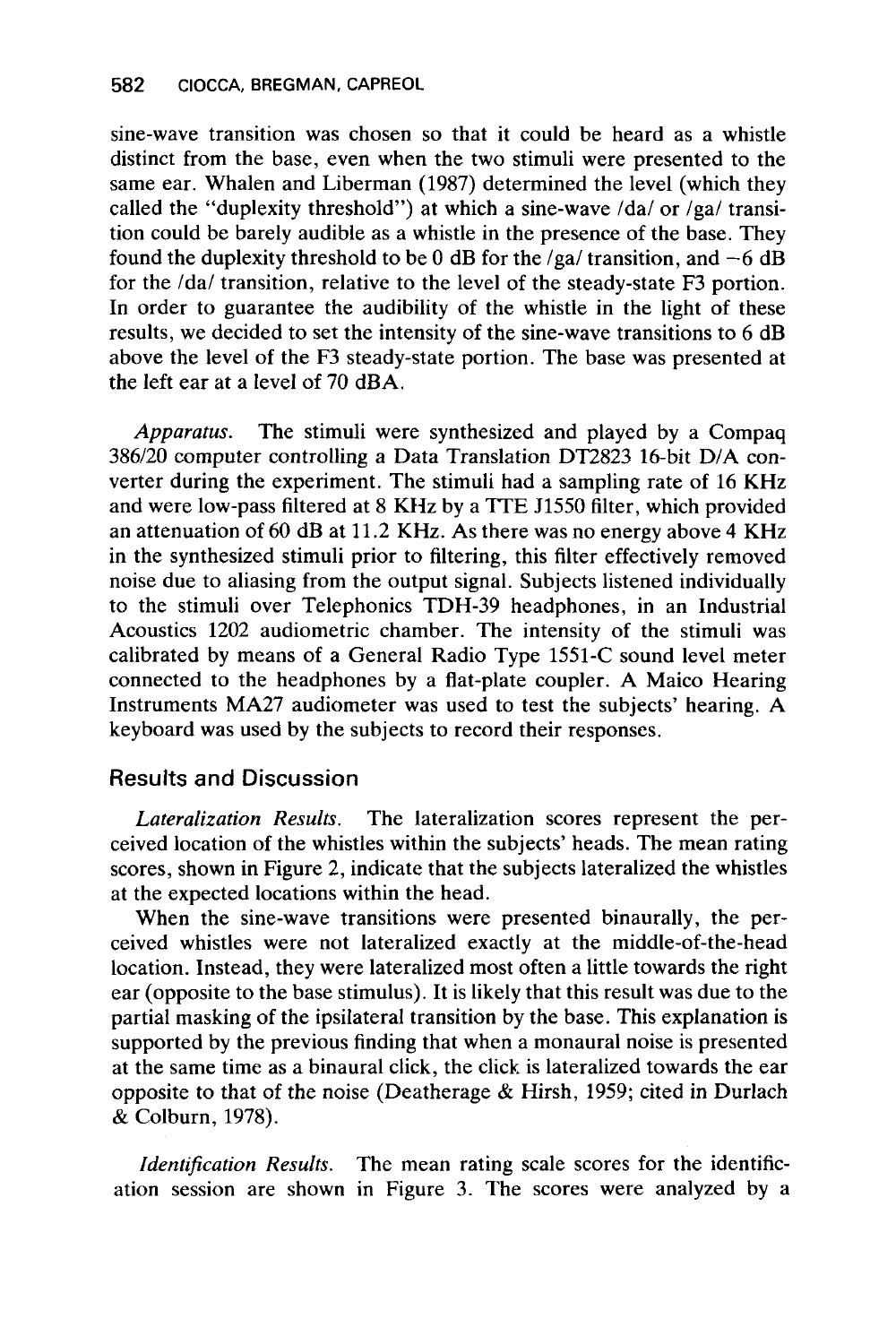sine-wave transition was chosen so that it could be heard as a whistle distinct from the base, even when the two stimuli were presented to the same ear. Whalen and Liberman (1987) determined the level (which they called the "duplexity threshold") at which a sine-wave /da/ or  $\angle$ ga/ transition could be barely audible as a whistle in the presence of the base. They found the duplexity threshold to be 0 dB for the /ga/ transition, and  $-6$  dB for the /da/ transition, relative to the level of the steady-state F3 portion. In order to guarantee the audibility of the whistle in the light of these results, we decided to set the intensity of the sine-wave transitions to 6 dB above the level of the F3 steady-state portion. The base was presented at the left ear at a level of 70 dBA.

*Apparatus.* The stimuli were synthesized and played by a Compaq 386/20 computer controlling a Data Translation DT2823 16-bit D/A converter during the experiment. The stimuli had a sampling rate of 16 KHz and were low-pass filtered at 8 KHz by a **7TE** J1550 filter, which provided an attenuation of 60 dB at 11.2 KHz. As there was no energy above **4** KHz in the synthesized stimuli prior to filtering, this filter effectively removed noise due to aliasing from the output signal. Subjects listened individually to the stimuli over Telephonics TDH-39 headphones, in an Industrial Acoustics 1202 audiometric chamber. The intensity of the stimuli was calibrated by means of a General Radio Type 1551-C sound level meter connected to the headphones by a flat-plate coupler. A Maico Hearing Instruments MA27 audiometer was used to test the subjects' hearing. A keyboard was used by the subjects to record their responses.

# **Results and Discussion**

*Lateralization Results.* The lateralization scores represent the perceived location of the whistles within the subjects' heads. The mean rating scores, shown in Figure 2, indicate that the subjects lateralized the whistles at the expected locations within the head.

When the sine-wave transitions were presented binaurally, the perceived whistles were not lateralized exactly at the middle-of-the-head location. Instead, they were lateralized most often a little towards the right ear (opposite to the base stimulus). It is likely that this result was due to the partial masking of the ipsilateral transition by the base. This explanation is supported by the previous finding that when a monaural noise is presented at the same time as a binaural click, the click is lateralized towards the ear opposite to that of the noise (Deatherage & Hirsh, 1959; cited in Durlach  $\&$  Colburn, 1978).

*Identification Results.* The mean rating scale scores for the identification session are shown in Figure 3. The scores were analyzed by a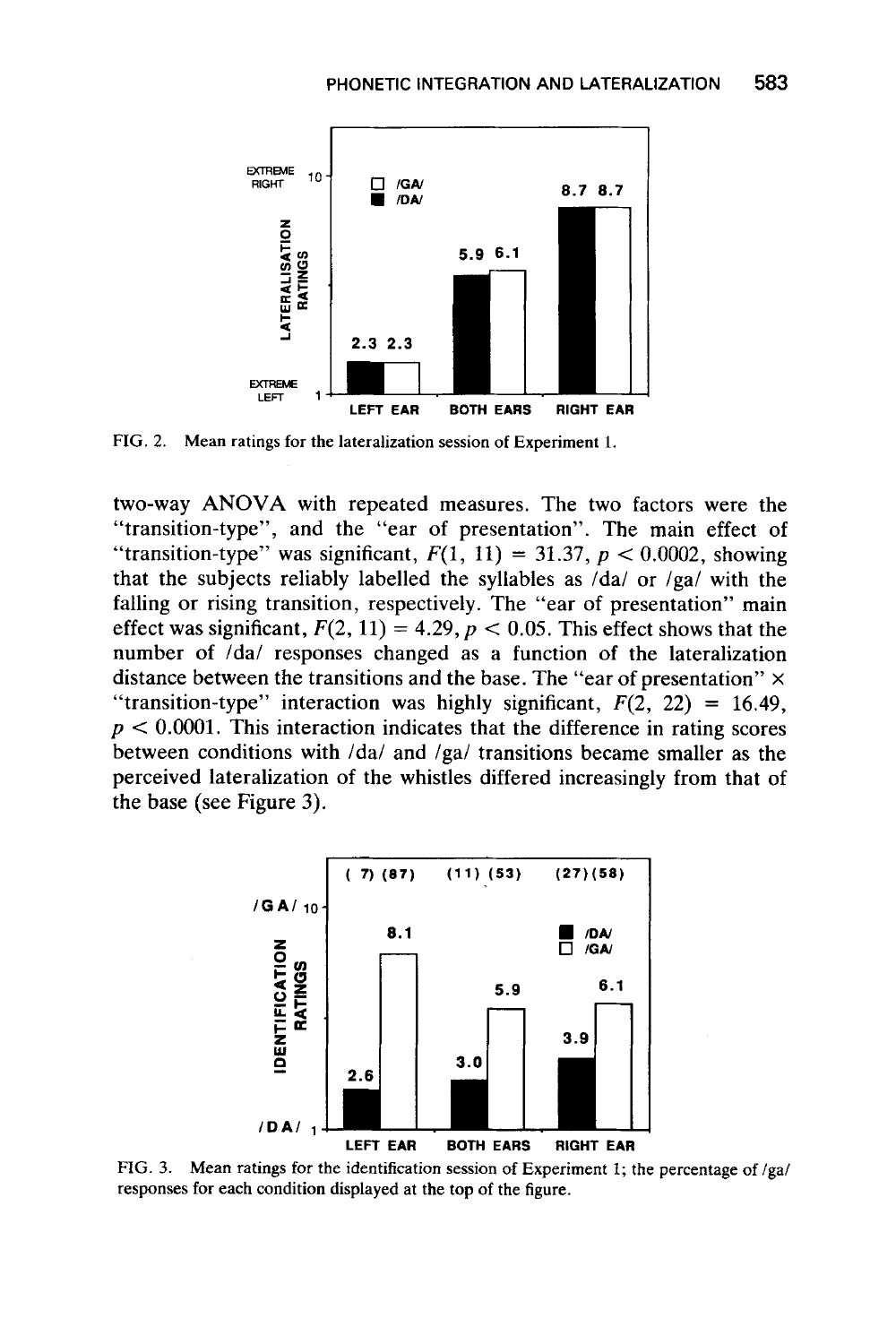

**FIG. 2. Mean ratings for the lateralization session of Experiment 1.** 

two-way **ANOVA** with repeated measures. The two factors were the "transition-type", and the "ear of presentation". The main effect of "transition-type" was significant,  $F(1, 11) = 31.37$ ,  $p < 0.0002$ , showing that the subjects reliably labelled the syllables as /da/ or /ga/ with the falling or rising transition, respectively. The "ear of presentation" main effect was significant,  $F(2, 11) = 4.29$ ,  $p < 0.05$ . This effect shows that the number of /da/ responses changed as a function of the lateralization distance between the transitions and the base. The "ear of presentation" **x**  "transition-type" interaction was highly significant,  $F(2, 22) = 16.49$ ,  $p < 0.0001$ . This interaction indicates that the difference in rating scores between conditions with /da/ and /ga/ transitions became smaller as the perceived lateralization of the whistles differed increasingly from that of the base (see Figure 3).



**FIG. 3. Mean ratings** for **the identification session of Experiment I; the percentage of /ga/ responses for each condition displayed at the top of the figure.**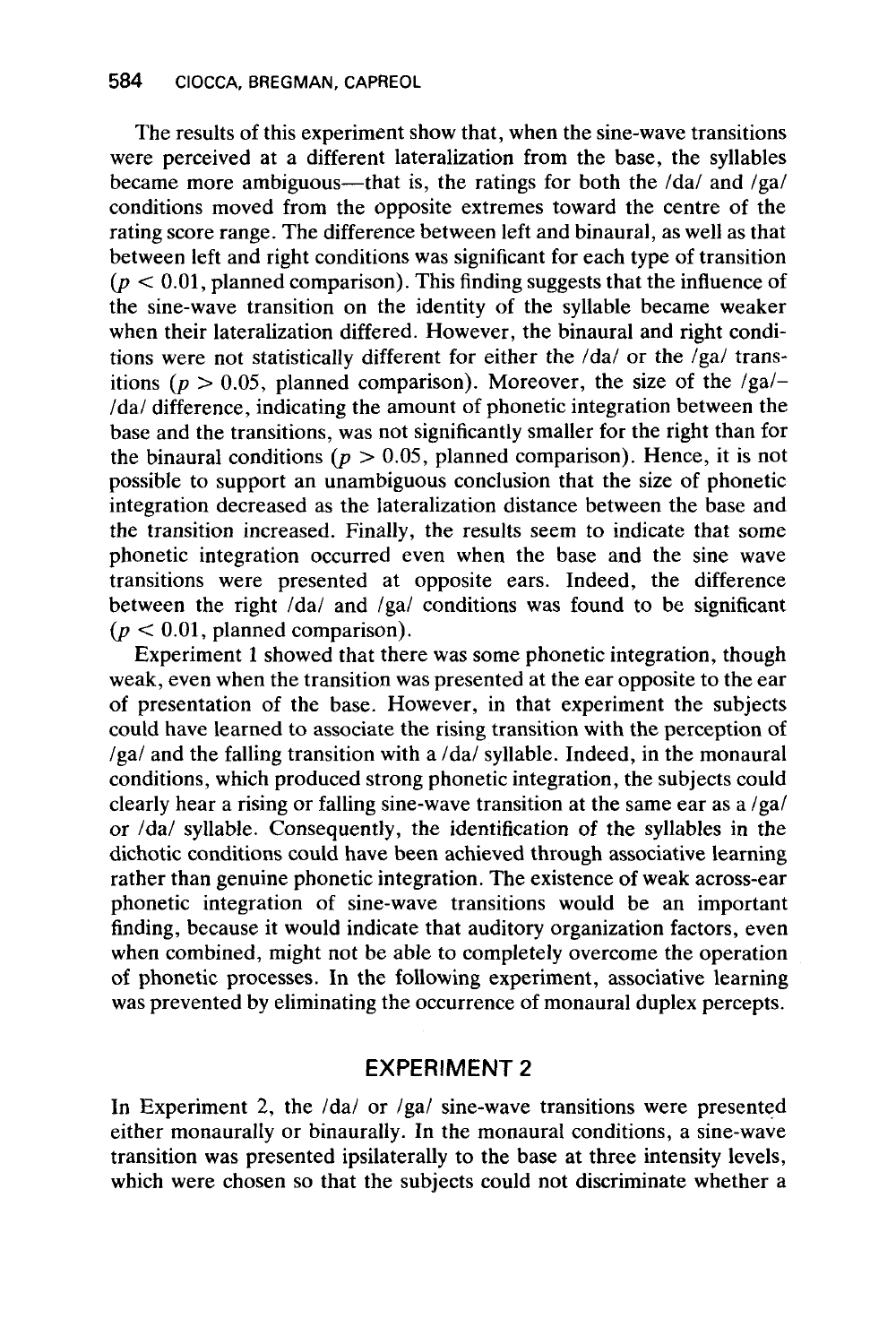The results of this experiment show that, when the sine-wave transitions were perceived at a different lateralization from the base, the syllables became more ambiguous—that is, the ratings for both the  $/da/$  and  $/ga/$ conditions moved from the opposite extremes toward the centre of the rating score range. The difference between left and binaural, as well as that between left and right conditions was significant for each type of transition  $(p < 0.01$ , planned comparison). This finding suggests that the influence of the sine-wave transition on the identity of the syllable became weaker when their lateralization differed. However, the binaural and right conditions were not statistically different for either the  $/da/$  or the  $/ga/$  transitions ( $p > 0.05$ , planned comparison). Moreover, the size of the /ga/-/da/ difference, indicating the amount of phonetic integration between the base and the transitions, was not significantly smaller for the right than for the binaural conditions ( $p > 0.05$ , planned comparison). Hence, it is not possible to support an unambiguous conclusion that the size of phonetic integration decreased as the lateralization distance between the base and the transition increased. Finally, the results seem to indicate that some phonetic integration occurred even when the base and the sine wave transitions were presented at opposite ears. Indeed, the difference between the right  $/da/$  and  $/ga/$  conditions was found to be significant  $(p < 0.01$ , planned comparison).

Experiment 1 showed that there was some phonetic integration, though weak, even when the transition was presented at the ear opposite to the ear of presentation of the base. However, in that experiment the subjects could have learned to associate the rising transition with the perception of /ga/ and the falling transition with a /da/ syllable. Indeed, in the monaural conditions, which produced strong phonetic integration, the subjects could clearly hear a rising or falling sine-wave transition at the same ear as a /ga/ or /da/ syllable. Consequently, the identification of the syllables in the dichotic conditions could have been achieved through associative learning rather than genuine phonetic integration. The existence of weak across-ear phonetic integration of sine-wave transitions would be an important finding, because it would indicate that auditory organization factors, even when combined, might not be able to completely overcome the operation of phonetic processes. In the following experiment, associative learning was prevented by eliminating the occurrence of monaural duplex percepts.

#### **EXPERIMENT 2**

In Experiment 2, the  $\frac{1}{da}$  or  $\frac{1}{ga}$  sine-wave transitions were presented either monaurally or binaurally. In the monaural conditions, a sine-wave transition was presented ipsilaterally to the base at three intensity levels, which were chosen so that the subjects could not discriminate whether a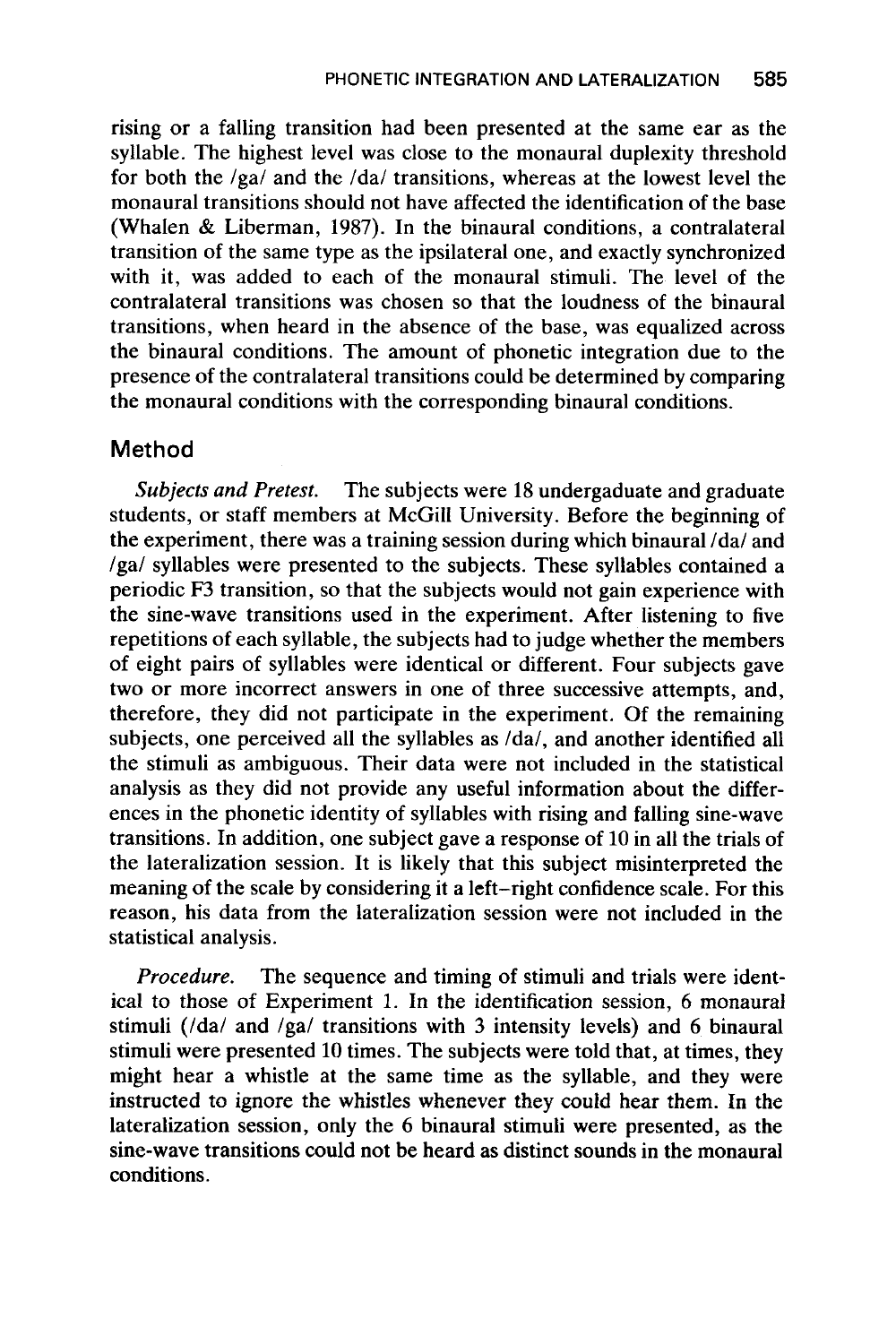rising or a falling transition had been presented at the same ear as the syllable. The highest level was close to the monaural duplexity threshold for both the /ga/ and the /da/ transitions, whereas at the lowest level the monaural transitions should not have affected the identification of the base (Whalen & Liberman, **1987).** In the binaural conditions, a contralateral transition of the same type as the ipsilateral one, and exactly synchronized with it, was added to each of the monaural stimuli. The level of the contralateral transitions was chosen so that the loudness of the binaural transitions, when heard in the absence of the base, was equalized across the binaural conditions. The amount of phonetic integration due to the presence of the contralateral transitions could be determined by comparing the monaural conditions with the corresponding binaural conditions.

# **Method**

The subjects were **18** undergaduate and graduate students, or staff members at McGill University. Before the beginning of the experiment, there was a training session during which binaural /da/ and /ga/ syllables were presented to the subjects. These syllables contained a periodic F3 transition, so that the subjects would not gain experience with the sine-wave transitions used in the experiment. After listening to five repetitions of each syllable, the subjects had to judge whether the members of eight pairs of syllables were identical or different. Four subjects gave two or more incorrect answers in one of three successive attempts, and, therefore, they did not participate in the experiment. Of the remaining subjects, one perceived all the syllables as  $da/$ , and another identified all the stimuli as ambiguous. Their data were not included in the statistical analysis as they did not provide any useful information about the differences in the phonetic identity of syllables with rising and falling sine-wave transitions. In addition, one subject gave a response of 10 in all the trials of the lateralization session. It is likely that this subject misinterpreted the meaning of the scale by considering it a left-right confidence scale. For this reason, his data from the lateralization session were not included in the statistical analysis. *Subjects and Pretest.* 

*Procedure.* The sequence and timing of stimuli and trials were identical to those of Experiment 1. In the identification session, 6 monaural stimuli ( $/da/d$  and  $/ga/d$  transitions with 3 intensity levels) and 6 binaural stimuli were presented **10** times. The subjects were told that, at times, they might hear a whistle at the same time as the syllable, and they were instructed to ignore the whistles whenever they could hear them. In the lateralization session, only the 6 binaural stimuli were presented, as the sine-wave transitions could not be heard as distinct sounds in the monaural conditions.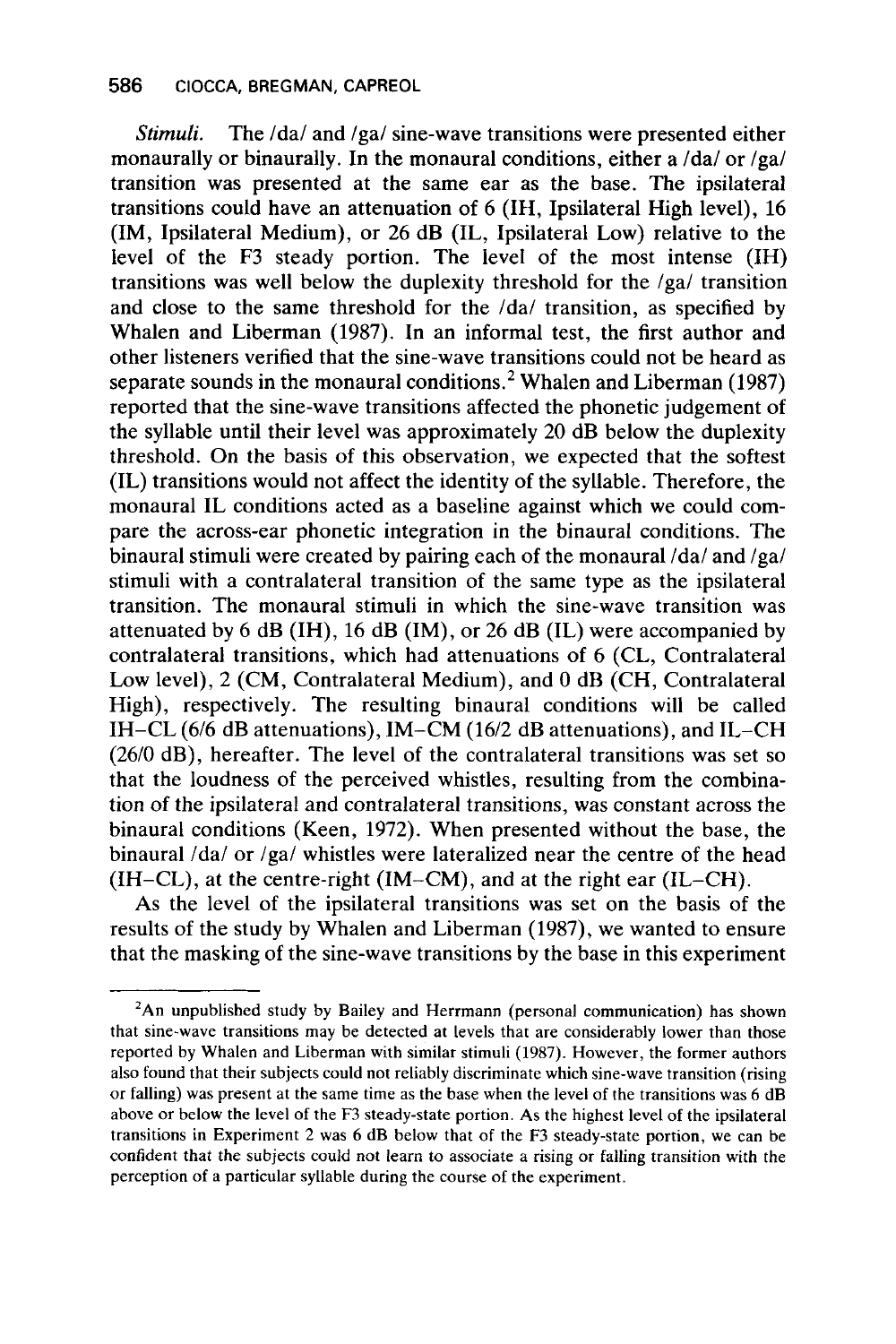*Stimuli.* The /da/ and /ga/ sine-wave transitions were presented either monaurally or binaurally. In the monaural conditions, either a  $\frac{1}{da}$  or  $\frac{1}{ga}$ transition was presented at the same ear as the base. The ipsilateral transitions could have an attenuation of 6 (IH, Ipsilateral High level), 16 (IM, Ipsilateral Medium), or 26 dB (IL, Ipsilateral Low) relative to the level of the F3 steady portion. The level of the most intense (IH) transitions was well below the duplexity threshold for the /ga/ transition and close to the same threshold for the /da/ transition, as specified by Whalen and Liberman (1987). In an informal test, the first author and other listeners verified that the sine-wave transitions could not be heard as separate sounds in the monaural conditions.<sup>2</sup> Whalen and Liberman (1987) reported that the sine-wave transitions affected the phonetic judgement of the syllable until their level was approximately 20 dB below the duplexity threshold. On the basis of this observation, we expected that the softest (IL) transitions would not affect the identity of the syllable. Therefore, the monaural IL conditions acted as a baseline against which we could compare the across-ear phonetic integration in the binaural conditions. The binaural stimuli were created by pairing each of the monaural  $\frac{da}{aa}$  and  $\frac{ga}{a}$ stimuli with a contralateral transition of the same type as the ipsilateral transition. The monaural stimuli in which the sine-wave transition was attenuated by 6 dB (IH), 16 dB (IM), or 26 dB (IL) were accompanied by contralateral transitions, which had attenuations of 6 (CL, Contralateral Low level), 2 (CM, Contralateral Medium), and 0 dB (CH, Contralateral High), respectively. The resulting binaural conditions will be called IH-CL (6/6 dB attenuations), IM-CM (1612 dB attenuations), and IL-CH (26/0 dB), hereafter. The level of the contralateral transitions was set so that the loudness of the perceived whistles, resulting from the combination of the ipsilateral and contralateral transitions, was constant across the binaural conditions (Keen, 1972). When presented without the base, the binaural /da/ or /ga/ whistles were lateralized near the centre of the head (IH-CL), at the centre-right (IM-CM), and at the right ear (IL-CH).

As the level of the ipsilateral transitions was set on the basis of the results of the study by Whalen and Liberman (1987), we wanted to ensure that the masking of the sine-wave transitions by the base in this experiment

**<sup>&#</sup>x27;An unpublished study by Bailey and Herrmann (personal communication) has shown that sine-wave transitions may be detected at levels that are considerably lower than those reported by Whalen and Liberman with similar stimuli (1987). However, the former authors also found that their subjects could not reliably discriminate which sine-wave transition (rising or falling) was present at the same time as the base when the level of the transitions was 6 dB above or below the level** of **the F3 steady-state portion. As the highest level of the ipsilateral transitions in Experiment** 2 **was 6 dB below that of the F3 steady-state portion, we can be confident that the subjects could not learn to associate a rising or falling transition with the perception of a particular syllable during the course of the experiment.**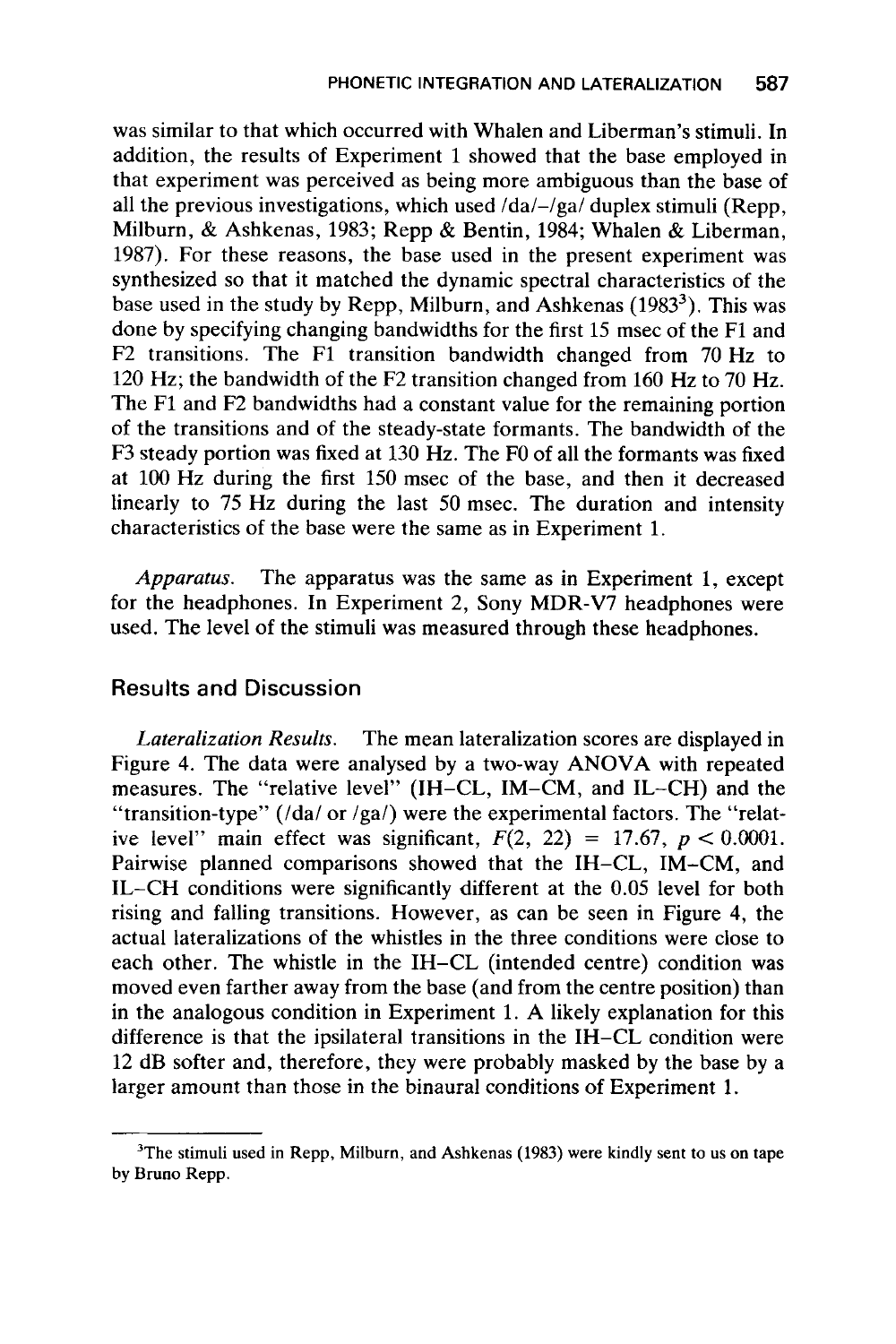was similar to that which occurred with Whalen and Liberman's stimuli. In addition, the results of Experiment 1 showed that the base employed in that experiment was perceived as being more ambiguous than the base of all the previous investigations, which used  $/da$  -/ga/ duplex stimuli (Repp, Milburn, & Ashkenas, 1983; Repp & Bentin, 1984; Whalen & Liberman, 1987). For these reasons, the base used in the present experiment was synthesized *so* that it matched the dynamic spectral characteristics of the base used in the study by Repp, Milburn, and Ashkenas (1983<sup>3</sup>). This was done by specifying changing bandwidths for the first 15 msec of the F1 and F2 transitions. The F1 transition bandwidth changed from 70 Hz to 120 Hz; the bandwidth of the F2 transition changed from **160** Hz to 70 Hz. The F1 and **F2** bandwidths had a constant value for the remaining portion of the transitions and of the steady-state formants. The bandwidth of the F3 steady portion was fixed at 130 Hz. The FO of all the formants was fixed at 100 Hz during the first 150 msec of the base, and then it decreased linearly to 75 Hz during the last 50 msec. The duration and intensity characteristics of the base were the same as in Experiment 1.

*Apparatus.* The apparatus was the same as in Experiment 1, except for the headphones. In Experiment 2, Sony MDR-V7 headphones were used. The level of the stimuli was measured through these headphones.

#### **Results and Discussion**

*Lateralization Results.* The mean lateralization scores are displayed in Figure 4. The data were analysed by a two-way ANOVA with repeated measures. The "relative level" (IH–CL, IM–CM, and IL–CH) and the "transition-type'' (/da/ **or** /ga/) were the experimental factors. The "relative level" main effect was significant,  $F(2, 22) = 17.67$ ,  $p < 0.0001$ . Pairwise planned comparisons showed that the IH-CL, IM-CM, and IL-CH conditions were significantly different at the 0.05 level for both rising and falling transitions. However, as can be seen in Figure **4,** the actual lateralizations of the whistles in the three conditions were close to each other. The whistle in the IH-CL (intended centre) condition was moved even farther away from the base (and from the centre position) than in the analogous condition in Experiment 1. A likely explanation for this difference is that the ipsilateral transitions in the IH-CL condition were 12 dB softer and, therefore, they were probably masked by the base by a larger amount than those in the binaural conditions of Experiment 1.

**<sup>3</sup>The stimuli used in Repp, Milburn, and Ashkenas (1983) were kindly sent to us on tape by Bruno Repp.**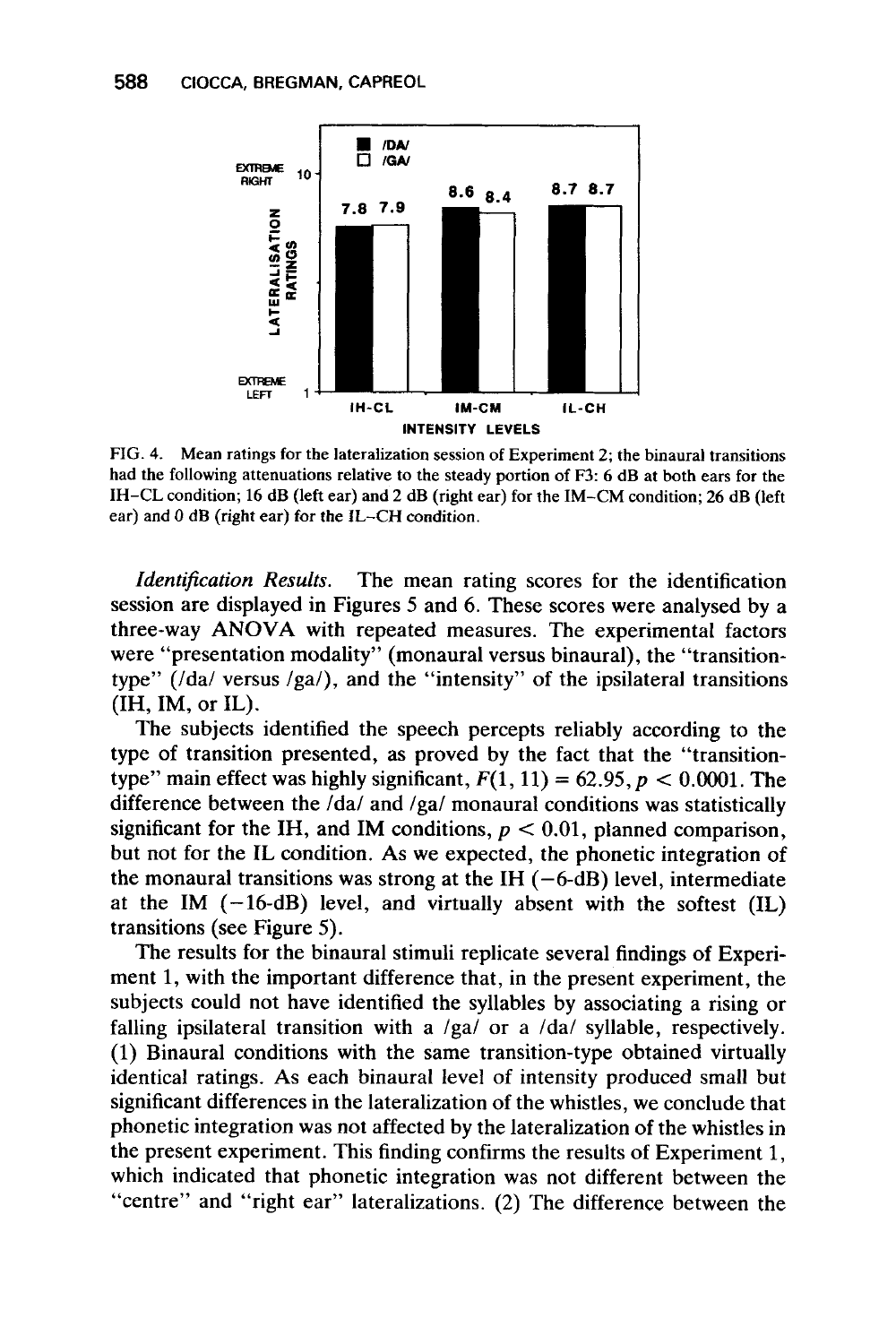

**FIG. 4. Mean ratings for the lateralization session of Experiment** 2; **the binaural transitions had the following attenuations relative to the steady portion of F3:** 6 **dB at both ears for the IH-CL condition;** 16 **dB (left ear) and 2 dB (right ear) for the IM-CM condition;** 26 **dB (left ear) and 0 dB (right ear) for the IL-CH condition.** 

*Identification Results.* The mean rating scores for the identification session are displayed in Figures *5* and 6. These scores were analysed by a three-way **ANOVA** with repeated measures. The experimental factors were "presentation modality" (monaural versus binaural), the "transitiontype" (/da/ versus /ga/), and the "intensity" of the ipsilateral transitions  $(IH, IM, or IL)$ .

The subjects identified the speech percepts reliably according to the type of transition presented, as proved by the fact that the "transitiontype" main effect was highly significant,  $F(1, 11) = 62.95$ ,  $p < 0.0001$ . The difference between the /da/ and /ga/ monaural conditions was statistically significant for the IH, and IM conditions,  $p < 0.01$ , planned comparison, but not for the IL condition. As we expected, the phonetic integration of the monaural transitions was strong at the IH  $(-6-dB)$  level, intermediate at the IM  $(-16-d)$  level, and virtually absent with the softest  $(IL)$ transitions (see Figure 5).

The results for the binaural stimuli replicate several findings of Experiment **1,** with the important difference that, in the present experiment, the subjects could not have identified the syllables by associating a rising or falling ipsilateral transition with a /ga/ or a /da/ syllable, respectively. (1) Binaural conditions with the same transition-type obtained virtually identical ratings. As each binaural level of intensity produced small but significant differences in the lateralization of the whistles, we conclude that phonetic integration was not affected by the lateralization of the whistles in the present experiment. This finding confirms the results of Experiment **1,**  which indicated that phonetic integration was not different between the "centre" and "right ear" lateralizations. (2) The difference between the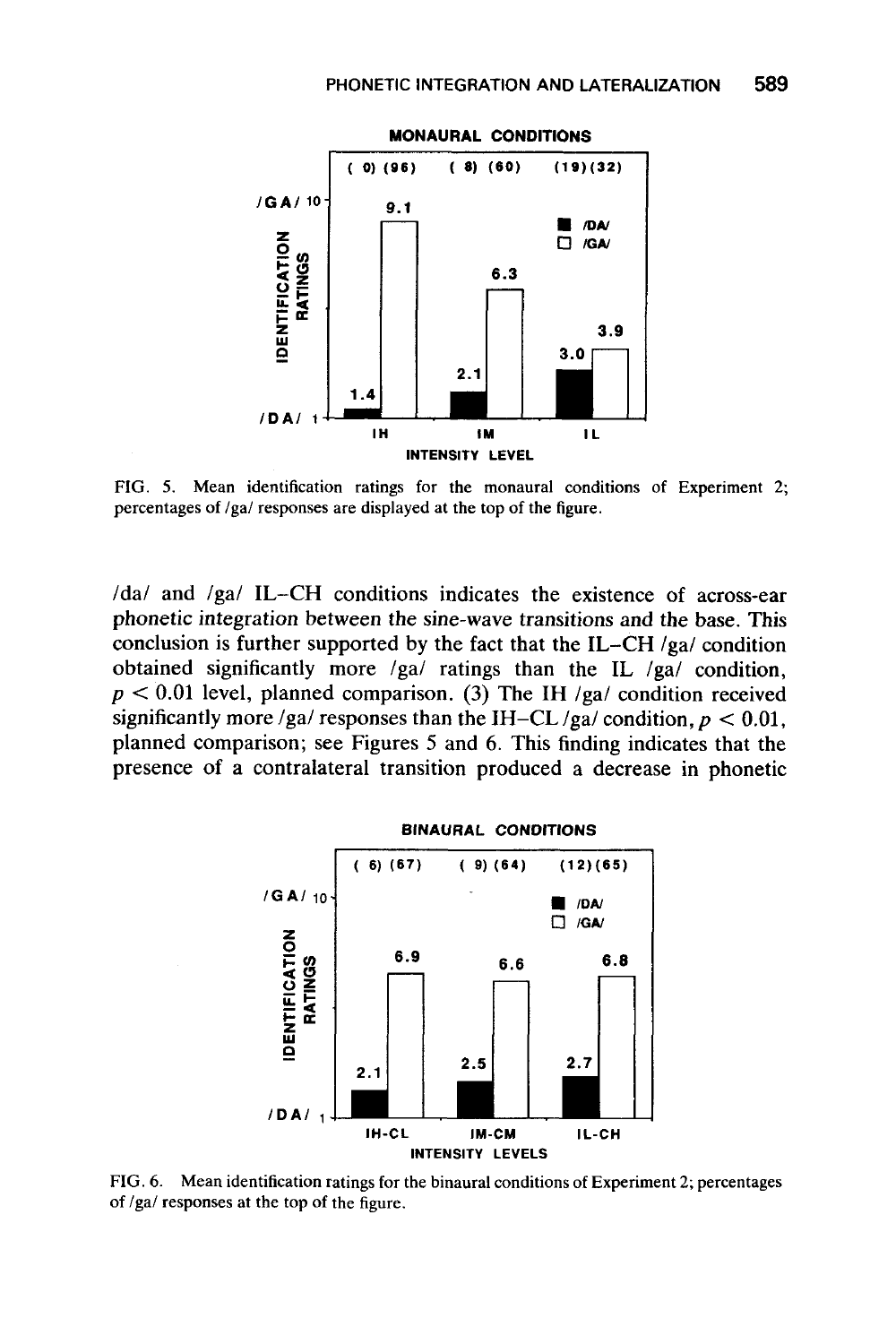

**FIG. 5. Mean identification ratings for the monaural conditions of Experiment** 2; **percentages of /gal responses are displayed at the top of the figure.** 

/da/ and /ga/ **IL-CH** conditions indicates the existence of across-ear phonetic integration between the sine-wave transitions and the base. This conclusion is further supported by the fact that the **IL-CH** /ga/ condition obtained significantly more /gal ratings than the **IL** /ga/ condition,  $p < 0.01$  level, planned comparison. (3) The IH  $/ga/$  condition received significantly more /ga/ responses than the IH-CL  $/ga$ / condition,  $p < 0.01$ , planned comparison; see Figures *5* and 6. This finding indicates that the presence of a contralateral transition produced a decrease in phonetic



**FIG. 6. Mean identification ratings for the binaural conditions of Experiment** 2; **percentages of /gal responses at the top of the figure.**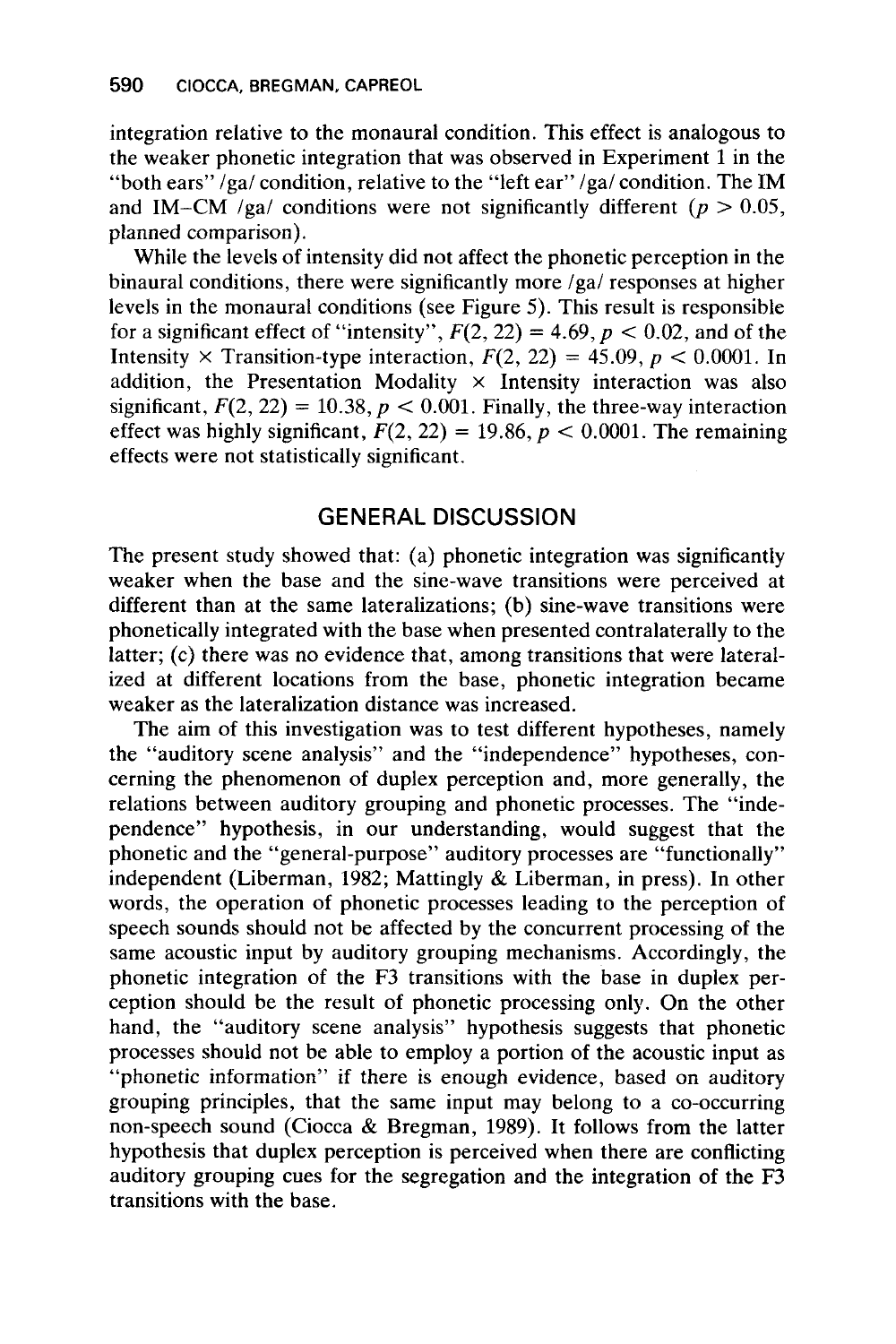integration relative to the monaural condition. This effect is analogous to the weaker phonetic integration that was observed in Experiment 1 in the "both ears" /ga/ condition, relative to the "left ear" /ga/ condition. The IM and IM-CM /ga/ conditions were not significantly different ( $p > 0.05$ , planned comparison).

While the levels of intensity did not affect the phonetic perception in the binaural conditions, there were significantly more /ga/ responses at higher levels in the monaural conditions (see Figure *5).* This result is responsible for a significant effect of "intensity",  $F(2, 22) = 4.69$ ,  $p < 0.02$ , and of the Intensity  $\times$  Transition-type interaction,  $F(2, 22) = 45.09$ ,  $p < 0.0001$ . In addition, the Presentation Modality  $\times$  Intensity interaction was also significant,  $F(2, 22) = 10.38$ ,  $p < 0.001$ . Finally, the three-way interaction effect was highly significant,  $F(2, 22) = 19.86$ ,  $p < 0.0001$ . The remaining effects were not statistically significant.

# **GENERAL DISCUSSION**

The present study showed that: (a) phonetic integration was significantly weaker when the base and the sine-wave transitions were perceived at different than at the same lateralizations; (b) sine-wave transitions were phonetically integrated with the base when presented contralaterally to the latter; (c) there was no evidence that, among transitions that were lateralized at different locations from the base, phonetic integration became weaker as the lateralization distance was increased.

The aim of this investigation was to test different hypotheses, namely the "auditory scene analysis" and the "independence" hypotheses, concerning the phenomenon of duplex perception and, more generally, the relations between auditory grouping and phonetic processes. The "independence" hypothesis, in our understanding, would suggest that the phonetic and the "general-purpose" auditory processes are "functionally" independent (Liberman, 1982; Mattingly & Liberman, in press). In other words, the operation of phonetic processes leading to the perception of speech sounds should not be affected by the concurrent processing of the same acoustic input by auditory grouping mechanisms. Accordingly, the phonetic integration of the F3 transitions with the base in duplex perception should be the result of phonetic processing only. On the other hand, the "auditory scene analysis" hypothesis suggests that phonetic processes should not be able to employ a portion of the acoustic input as "phonetic information'' if there is enough evidence, based on auditory grouping principles, that the same input may belong to a co-occurring non-speech sound (Ciocca & Bregman, 1989). It follows from the latter hypothesis that duplex perception is perceived when there are conflicting auditory grouping cues for the segregation and the integration of the F3 transitions with the base.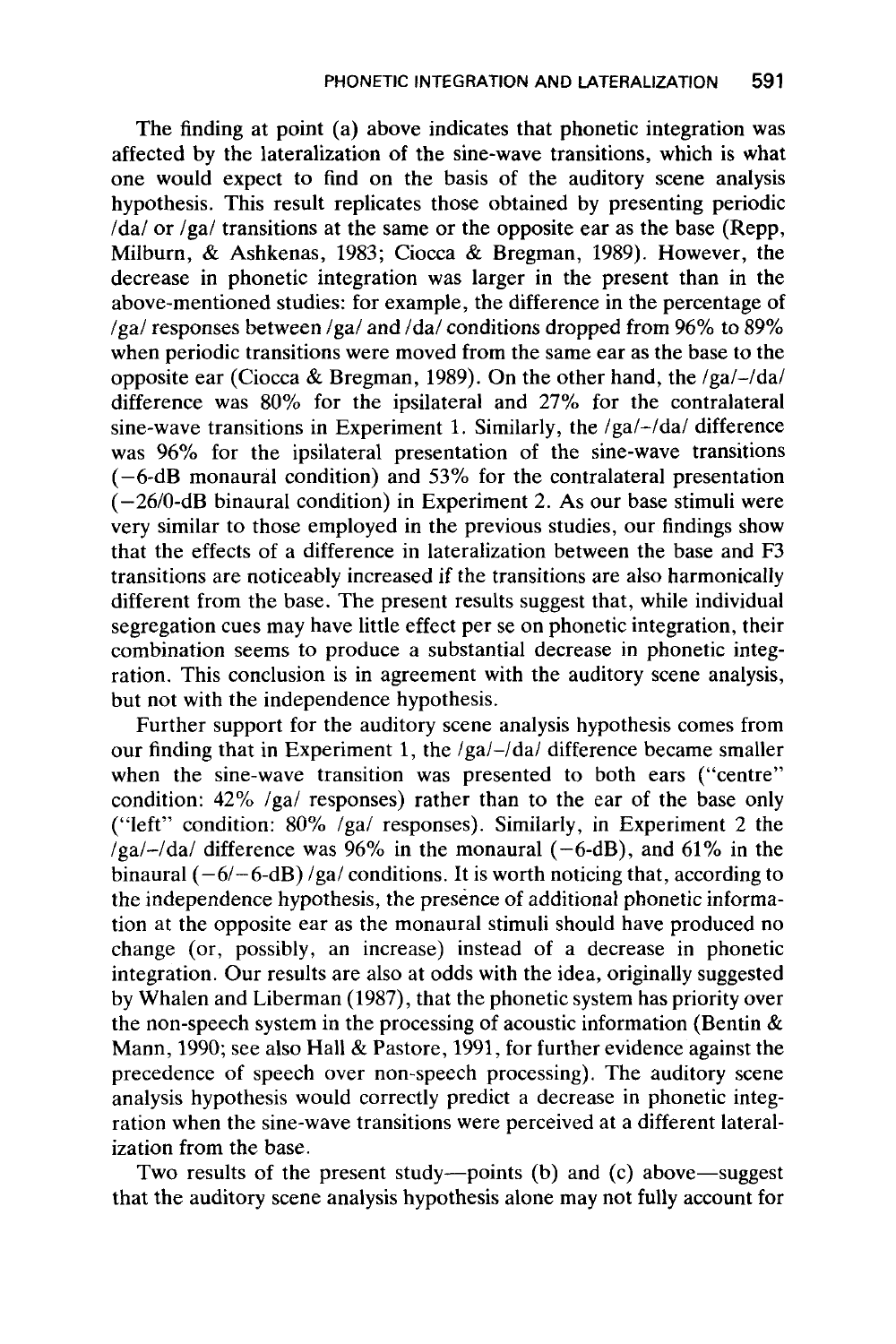The finding at point (a) above indicates that phonetic integration was affected by the lateralization of the sine-wave transitions, which is what one would expect to find on the basis of the auditory scene analysis hypothesis. This result replicates those obtained by presenting periodic  $\frac{1}{d}$  or /ga/ transitions at the same or the opposite ear as the base (Repp, Milburn, & Ashkenas, 1983; Ciocca & Bregman, 1989). However, the decrease in phonetic integration was larger in the present than in the above-mentioned studies: for example, the difference in the percentage of /ga/ responses between /ga/ and /da/ conditions dropped from 96% to 89% when periodic transitions were moved from the same ear as the base to the opposite ear (Ciocca & Bregman, 1989). On the other hand, the  $/ga/-/da/$ difference was 80% for the ipsilateral and 27% for the contralateral sine-wave transitions in Experiment 1. Similarly, the  $/ga/-/da/$  difference was 96% for the ipsilateral presentation of the sine-wave transitions (-6-dB monaural condition) and **53%** for the contralateral presentation  $(-26/0-dB)$  binaural condition) in Experiment 2. As our base stimuli were very similar to those employed in the previous studies, our findings show that the effects of a difference in lateralization between the base and F3 transitions are noticeably increased if the transitions are also harmonically different from the base. The present results suggest that, while individual segregation cues may have little effect per se on phonetic integration, their combination seems to produce a substantial decrease in phonetic integration. This conclusion is in agreement with the auditory scene analysis, but not with the independence hypothesis.

Further support for the auditory scene analysis hypothesis comes from our finding that in Experiment 1, the /ga/-/da/ difference became smaller when the sine-wave transition was presented to both ears ("centre" condition: 42% /ga/ responses) rather than to the ear of the base only ("left" condition:  $80\%$  /ga/ responses). Similarly, in Experiment 2 the  $\log a$ -/da/ difference was 96% in the monaural (-6-dB), and 61% in the binaural  $(-6/-6-dB)$  /ga/ conditions. It is worth noticing that, according to the independence hypothesis, the presence of additional phonetic information at the opposite ear as the monaural stimuli should have produced no change (or, possibly, an increase) instead of a decrease in phonetic integration. Our results are also at odds with the idea, originally suggested by Whalen and Liberman (1987), that the phonetic system has priority over the non-speech system in the processing of acoustic information (Bentin & Mann, 1990; see also Hall & Pastore, 1991, for further evidence against the precedence of speech over non-speech processing). The auditory scene analysis hypothesis would correctly predict a decrease in phonetic integration when the sine-wave transitions were perceived at a different lateralization from the base.

Two results of the present study-points (b) and (c) above-suggest that the auditory scene analysis hypothesis alone may not fully account for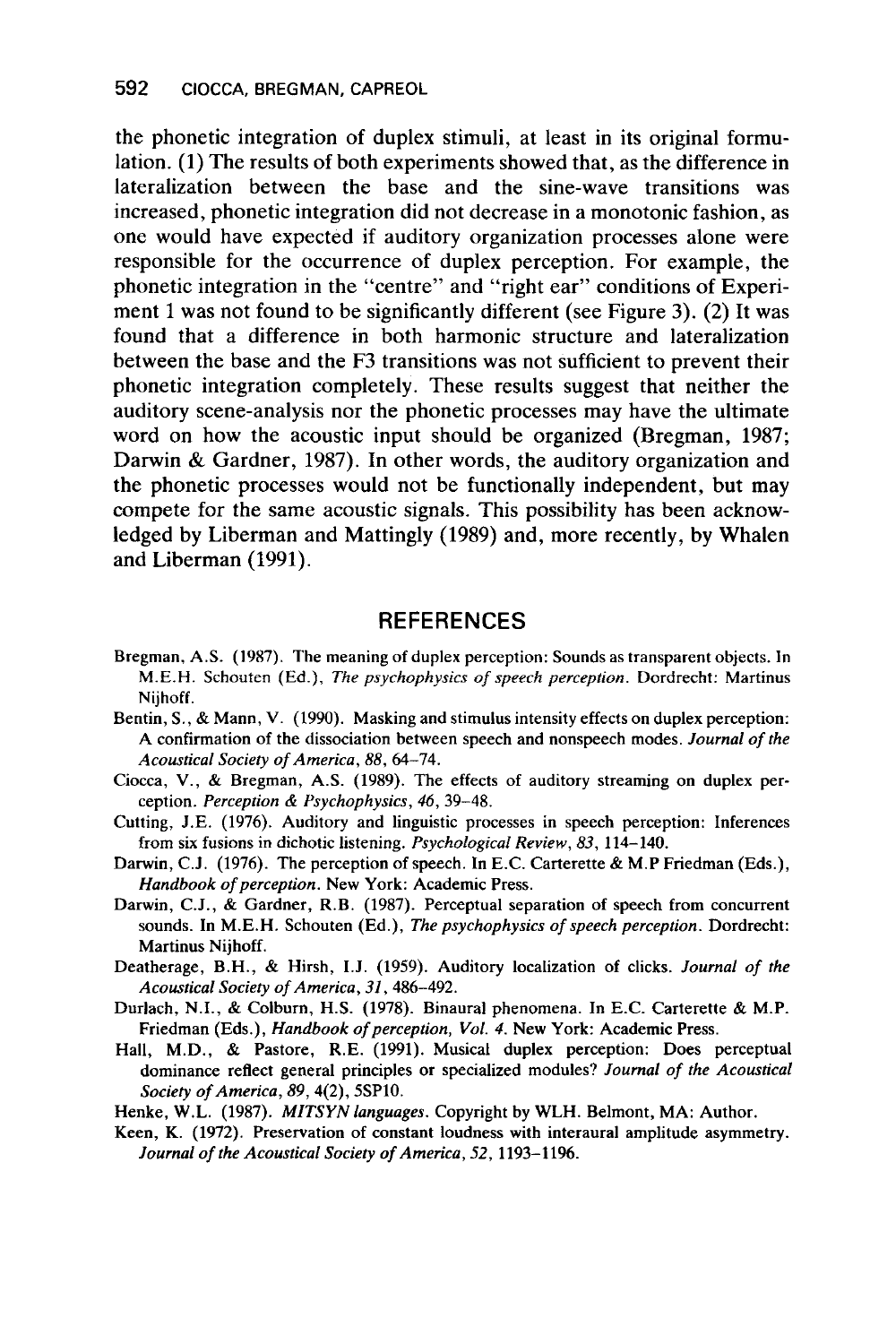the phonetic integration of duplex stimuli, at least in its original formulation. (1) The results of both experiments showed that, as the difference in lateralization between the base and the sine-wave transitions was increased, phonetic integration did not decrease in a monotonic fashion, as one would have expected if auditory organization processes alone were responsible for the occurrence of duplex perception. For example, the phonetic integration in the "centre" and "right ear" conditions of Experiment 1 was not found to be significantly different (see Figure 3). (2) It was found that a difference in both harmonic structure and lateralization between the base and the F3 transitions was not sufficient to prevent their phonetic integration completely. These results suggest that neither the auditory scene-analysis nor the phonetic processes may have the ultimate word on how the acoustic input should be organized (Bregman, 1987; Darwin & Gardner, 1987). In other words, the auditory organization and the phonetic processes would not be functionally independent, but may compete for the same acoustic signals. This possibility has been acknowledged by Liberman and Mattingly (1989) and, more recently, by Whalen and Liberman (1991).

#### **REFERENCES**

- Bregman, **A.S. (1987).** The meaning **of** duplex perception: Sounds as transparent objects. In M.E.H. Schouten (Ed.), *The psychophysics* of *speech perception.* Dordrecht: Martinus Nijhoff.
- Bentin, S., & Mann, V. **(1990).** Masking and stimulus intensity effects on duplex perception: A confirmation of the dissociation between speech and nonspeech modes. *Journal* of *the Acoustical Society* of *America, 88,* **64-74.**
- Ciocca, V., & Bregman, A.S. **(1989).** The effects of auditory streaming on duplex perception. *Perception & Psychophysics*, 46, 39-48.
- Cutting, J.E. **(1976).** Auditory and linguistic processes in speech perception: Inferences from six fusions in dichotic listening. *Psychologicd Review,* 83, **114-140.**
- Darwin, C.J. **(1976).** The perception of speech. In E.C. Carterette & M.P Friedman (Eds.), *Handbook* of *perception.* New York: Academic Press.
- Darwin, C.J., & Gardner, R.B. **(1987).** Perceptual separation of speech from concurrent sounds. In M.E.H. Schouten (Ed.), *The psychophysics* of *speech perception.* Dordrecht: Martinus Nijhoff.
- Deatherage, B.H., & Hirsh, I.J. **(1959).** Auditory localization of clicks. *Journal* of *the Acoustical Society* **of** *America,* **31,486-492.**
- Durlach, N.I., & Colburn, H.S. **(1978).** Binaural phenomena. In E.C. Carterette & M.P. Friedman (Eds.), *Handbook* of *perception, Vol. 4.* New York: Academic Press.
- Hall, M.D., & Pastore, R.E. **(1991).** Musical duplex perception: Does perceptual dominance reflect general principles or specialized modules? *Journal* of *the Acoustical Society of America,* **89,4(2), 5SP10.**
- Henke, W.L. **(1987).** *MITSYN languages.* Copyright by WLH. Belmont, MA: Author.
- Keen, K. **(1972).** Preservation of constant loudness with interaural amplitude asymmetry. *Journal* of *the Acoustical Society of America, 52,* **1193-1196.**